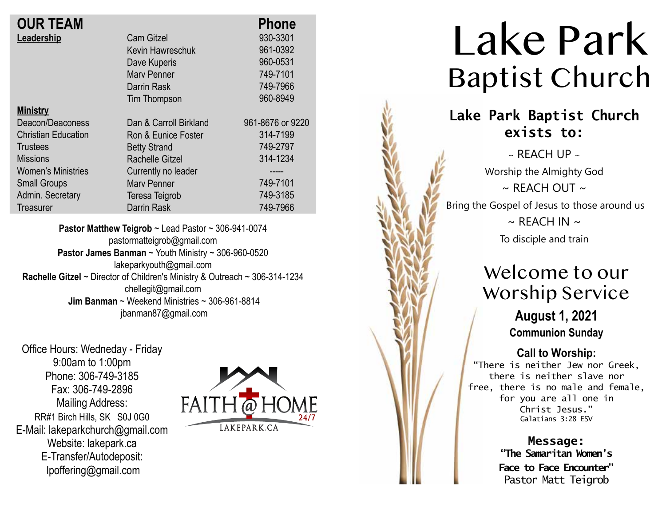| <b>OUR TEAM</b>            |                        | <b>Phone</b>     |
|----------------------------|------------------------|------------------|
| Leadership                 | <b>Cam Gitzel</b>      | 930-3301         |
|                            | Kevin Hawreschuk       | 961-0392         |
|                            | Dave Kuperis           | 960-0531         |
|                            | <b>Mary Penner</b>     | 749-7101         |
|                            | Darrin Rask            | 749-7966         |
|                            | Tim Thompson           | 960-8949         |
| <b>Ministry</b>            |                        |                  |
| Deacon/Deaconess           | Dan & Carroll Birkland | 961-8676 or 9220 |
| <b>Christian Education</b> | Ron & Eunice Foster    | 314-7199         |
| Trustees                   | <b>Betty Strand</b>    | 749-2797         |
| <b>Missions</b>            | Rachelle Gitzel        | 314-1234         |
| <b>Women's Ministries</b>  | Currently no leader    | -----            |
| <b>Small Groups</b>        | <b>Mary Penner</b>     | 749-7101         |
| Admin. Secretary           | Teresa Teigrob         | 749-3185         |
| <b>Treasurer</b>           | <b>Darrin Rask</b>     | 749-7966         |
|                            |                        |                  |

**Pastor Matthew Teigrob** ~ Lead Pastor ~ 306-941-0074 pastormatteigrob@gmail.com **Pastor James Banman** ~ Youth Ministry ~ 306-960-0520 lakeparkyouth@gmail.com **Rachelle Gitzel** ~ Director of Children's Ministry & Outreach ~ 306-314-1234 chellegit@gmail.com  **Jim Banman** ~ Weekend Ministries ~ 306-961-8814 jbanman87@gmail.com

Office Hours: Wedneday - Friday 9:00am to 1:00pm Phone: 306-749-3185 Fax: 306-749-2896 Mailing Address: RR#1 Birch Hills, SK S0J 0G0 E-Mail: lakeparkchurch@gmail.com Website: lakepark.ca E-Transfer/Autodeposit: lpoffering@gmail.com



# Lake Park Baptist Church

## **Lake Park Baptist Church exists to:**

 $\sim$  REACH UP  $\sim$ Worship the Almighty God  $\sim$  RFACH OUT  $\sim$ Bring the Gospel of Jesus to those around us  $\sim$  REACH IN  $\sim$ To disciple and train

## Welcome to our Worship Service

**August 1, 2021 Communion Sunday**

**Call to Worship:**

"There is neither Jew nor Greek, there is neither slave nor free, there is no male and female, for you are all one in Christ Jesus." Galatians 3:28 ESV

> **Message: "The Samaritan Women's Face to Face Encounter"** Pastor Matt Teigrob